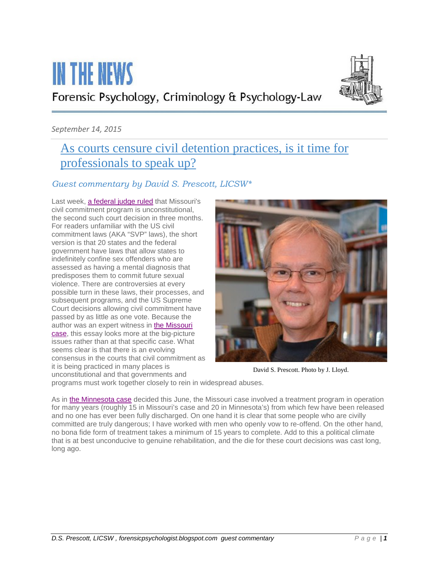# **IN THE NEWS** Forensic Psychology, Criminology & Psychology-Law



#### *September 14, 2015*

## [As courts censure civil detention practices, is it time for](http://forensicpsychologist.blogspot.com/2015/09/as-courts-censure-civil-detention.html)  [professionals to speak up?](http://forensicpsychologist.blogspot.com/2015/09/as-courts-censure-civil-detention.html)

### *Guest commentary by David S. Prescott, LICSW\**

Last week, [a federal judge ruled](http://www.stltoday.com/news/local/crime-and-courts/us-judge-rules-handling-of-state-s-sexual-predator-program/article_8ea46baa-5e3f-5773-a1d1-9465c9d08fe9.html) that Missouri's civil commitment program is unconstitutional, the second such court decision in three months. For readers unfamiliar with the US civil commitment laws (AKA "SVP" laws), the short version is that 20 states and the federal government have laws that allow states to indefinitely confine sex offenders who are assessed as having a mental diagnosis that predisposes them to commit future sexual violence. There are controversies at every possible turn in these laws, their processes, and subsequent programs, and the US Supreme Court decisions allowing civil commitment have passed by as little as one vote. Because the author was an expert witness in [the Missouri](http://bloximages.newyork1.vip.townnews.com/stltoday.com/content/tncms/assets/v3/editorial/6/1d/61df5598-70c4-5a7d-825d-1904ca085316/55f37ef05d3d1.pdf.pdf)  [case,](http://bloximages.newyork1.vip.townnews.com/stltoday.com/content/tncms/assets/v3/editorial/6/1d/61df5598-70c4-5a7d-825d-1904ca085316/55f37ef05d3d1.pdf.pdf) this essay looks more at the big-picture issues rather than at that specific case. What seems clear is that there is an evolving consensus in the courts that civil commitment as it is being practiced in many places is unconstitutional and that governments and



David S. Prescott. Photo by J. Lloyd.

programs must work together closely to rein in widespread abuses.

As in [the Minnesota case](http://www.startribune.com/judge-expected-to-rule-today-in-lawsuit-challenging-minnesota-s-sex-offender-program/307884871/) decided this June, the Missouri case involved a treatment program in operation for many years (roughly 15 in Missouri's case and 20 in Minnesota's) from which few have been released and no one has ever been fully discharged. On one hand it is clear that some people who are civilly committed are truly dangerous; I have worked with men who openly vow to re-offend. On the other hand, no bona fide form of treatment takes a minimum of 15 years to complete. Add to this a political climate that is at best unconducive to genuine rehabilitation, and the die for these court decisions was cast long, long ago.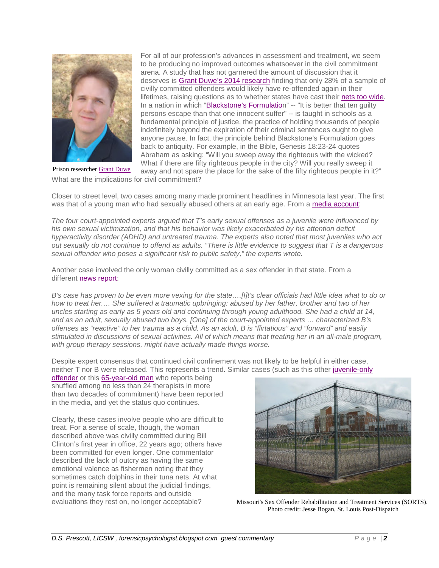

For all of our profession's advances in assessment and treatment, we seem to be producing no improved outcomes whatsoever in the civil commitment arena. A study that has not garnered the amount of discussion that it deserves is [Grant Duwe's 2014 research](http://www.sciencedirect.com/science/article/pii/S0047235213000482) finding that only 28% of a sample of civilly committed offenders would likely have re-offended again in their lifetimes, raising questions as to whether states have cast their [nets too wide.](http://jiv.sagepub.com/content/29/15/2792.abstract) In a nation in which ["Blackstone's Formulation](https://en.wikipedia.org/wiki/Blackstone%27s_formulation)" -- "It is better that ten guilty persons escape than that one innocent suffer" -- is taught in schools as a fundamental principle of justice, the practice of holding thousands of people indefinitely beyond the expiration of their criminal sentences ought to give anyone pause. In fact, the principle behind Blackstone's Formulation goes back to antiquity. For example, in the Bible, Genesis 18:23-24 quotes Abraham as asking: "Will you sweep away the righteous with the wicked? What if there are fifty righteous people in the city? Will you really sweep it

away and not spare the place for the sake of the fifty righteous people in it?" What are the implications for civil commitment? Prison researcher [Grant Duwe](http://www.baylorisr.org/scholars/d/duwe-grant/)

Closer to street level, two cases among many made prominent headlines in Minnesota last year. The first was that of a young man who had sexually abused others at an early age. From a [media account:](http://www.startribune.com/judge-won-t-allow-release-of-sex-offender/270838671/)

*The four court-appointed experts argued that T's early sexual offenses as a juvenile were influenced by his own sexual victimization, and that his behavior was likely exacerbated by his attention deficit hyperactivity disorder (ADHD) and untreated trauma. The experts also noted that most juveniles who act out sexually do not continue to offend as adults. "There is little evidence to suggest that T is a dangerous sexual offender who poses a significant risk to public safety," the experts wrote.*

Another case involved the only woman civilly committed as a sex offender in that state. From a different [news report:](https://www.minnpost.com/politics-policy/2014/07/hearing-reveals-flaws-minnesotas-treatment-certain-sex-offenders)

*B's case has proven to be even more vexing for the state….[I]t's clear officials had little idea what to do or how to treat her.… She suffered a traumatic upbringing: abused by her father, brother and two of her uncles starting as early as 5 years old and continuing through young adulthood. She had a child at 14, and as an adult, sexually abused two boys. [One] of the court-appointed experts … characterized B's offenses as "reactive" to her trauma as a child. As an adult, B is "flirtatious" and "forward" and easily stimulated in discussions of sexual activities. All of which means that treating her in an all-male program, with group therapy sessions, might have actually made things worse.*

Despite expert consensus that continued civil confinement was not likely to be helpful in either case, neither T nor B were released. This represents a trend. Similar cases (such as this other [juvenile-only](http://politicsinminnesota.com/2012/10/he-was-a-kid-former-juvenile-sex-offenders-languish-in-msop/) 

[offender](http://politicsinminnesota.com/2012/10/he-was-a-kid-former-juvenile-sex-offenders-languish-in-msop/) or this [65-year-old man](http://www.startribune.com/nobody-ever-released-witness-says-at-msop-trial/292307001/) who reports being shuffled among no less than 24 therapists in more than two decades of commitment) have been reported in the media, and yet the status quo continues.

Clearly, these cases involve people who are difficult to treat. For a sense of scale, though, the woman described above was civilly committed during Bill Clinton's first year in office, 22 years ago; others have been committed for even longer. One commentator described the lack of outcry as having the same emotional valence as fishermen noting that they sometimes catch dolphins in their tuna nets. At what point is remaining silent about the judicial findings, and the many task force reports and outside evaluations they rest on, no longer acceptable?



Missouri's Sex Offender Rehabilitation and Treatment Services (SORTS). Photo credit: Jesse Bogan, St. Louis Post-Dispatch